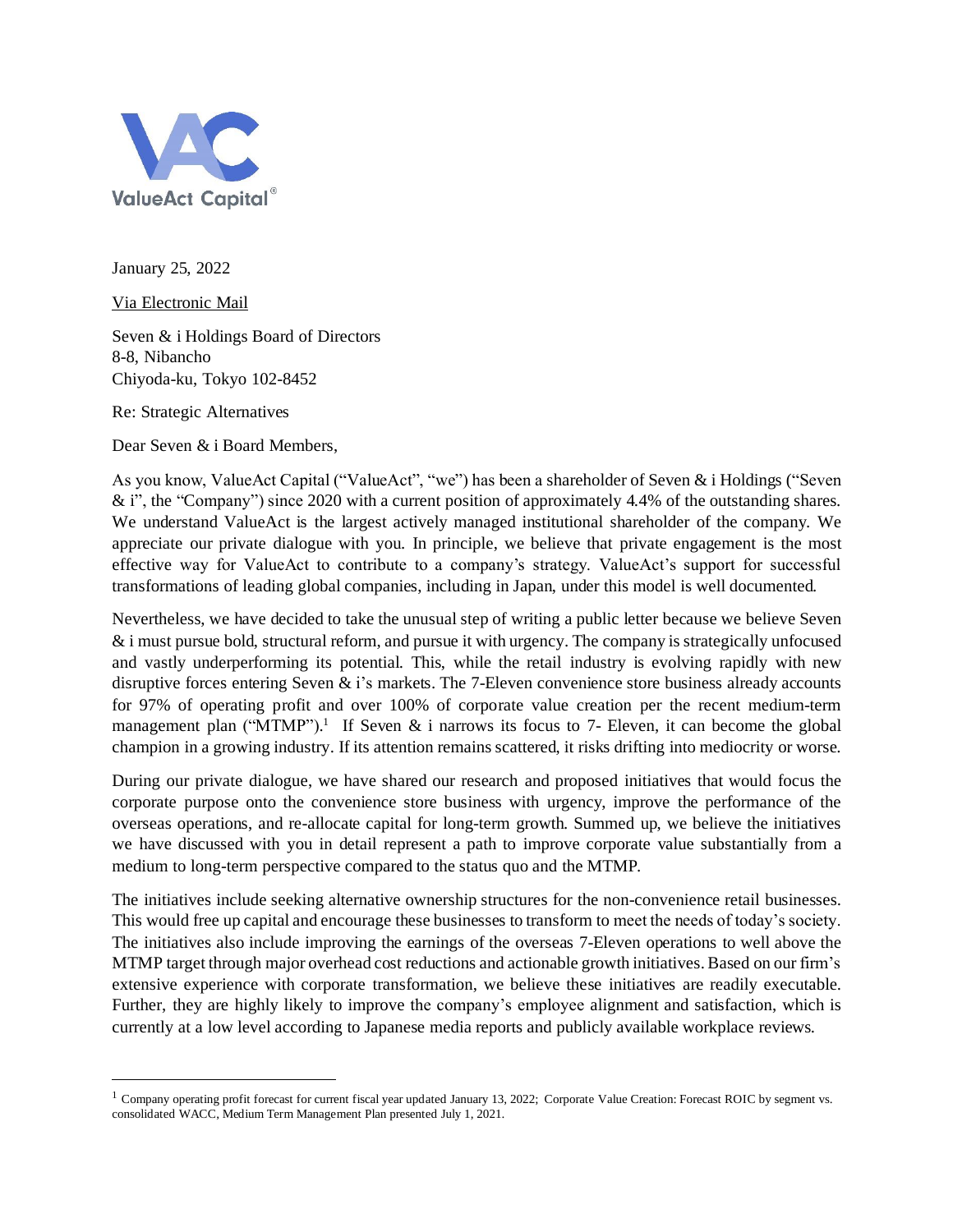

January 25, 2022

Via Electronic Mail

Seven & i Holdings Board of Directors 8-8, Nibancho Chiyoda-ku, Tokyo 102-8452

Re: Strategic Alternatives

Dear Seven & i Board Members,

As you know, ValueAct Capital ("ValueAct", "we") has been a shareholder of Seven & i Holdings ("Seven & i", the "Company") since 2020 with a current position of approximately 4.4% of the outstanding shares. We understand ValueAct is the largest actively managed institutional shareholder of the company. We appreciate our private dialogue with you. In principle, we believe that private engagement is the most effective way for ValueAct to contribute to a company's strategy. ValueAct's support for successful transformations of leading global companies, including in Japan, under this model is well documented.

Nevertheless, we have decided to take the unusual step of writing a public letter because we believe Seven  $\&$  i must pursue bold, structural reform, and pursue it with urgency. The company is strategically unfocused and vastly underperforming its potential. This, while the retail industry is evolving rapidly with new disruptive forces entering Seven  $\&$  i's markets. The 7-Eleven convenience store business already accounts for 97% of operating profit and over 100% of corporate value creation per the recent medium-term management plan ("MTMP").<sup>1</sup> If Seven  $\&$  i narrows its focus to 7- Eleven, it can become the global champion in a growing industry. If its attention remains scattered, it risks drifting into mediocrity or worse.

During our private dialogue, we have shared our research and proposed initiatives that would focus the corporate purpose onto the convenience store business with urgency, improve the performance of the overseas operations, and re-allocate capital for long-term growth. Summed up, we believe the initiatives we have discussed with you in detail represent a path to improve corporate value substantially from a medium to long-term perspective compared to the status quo and the MTMP.

The initiatives include seeking alternative ownership structures for the non-convenience retail businesses. This would free up capital and encourage these businesses to transform to meet the needs of today's society. The initiatives also include improving the earnings of the overseas 7-Eleven operations to well above the MTMP target through major overhead cost reductions and actionable growth initiatives. Based on our firm's extensive experience with corporate transformation, we believe these initiatives are readily executable. Further, they are highly likely to improve the company's employee alignment and satisfaction, which is currently at a low level according to Japanese media reports and publicly available workplace reviews.

 $1$  Company operating profit forecast for current fiscal year updated January 13, 2022; Corporate Value Creation: Forecast ROIC by segment vs. consolidated WACC, Medium Term Management Plan presented July 1, 2021.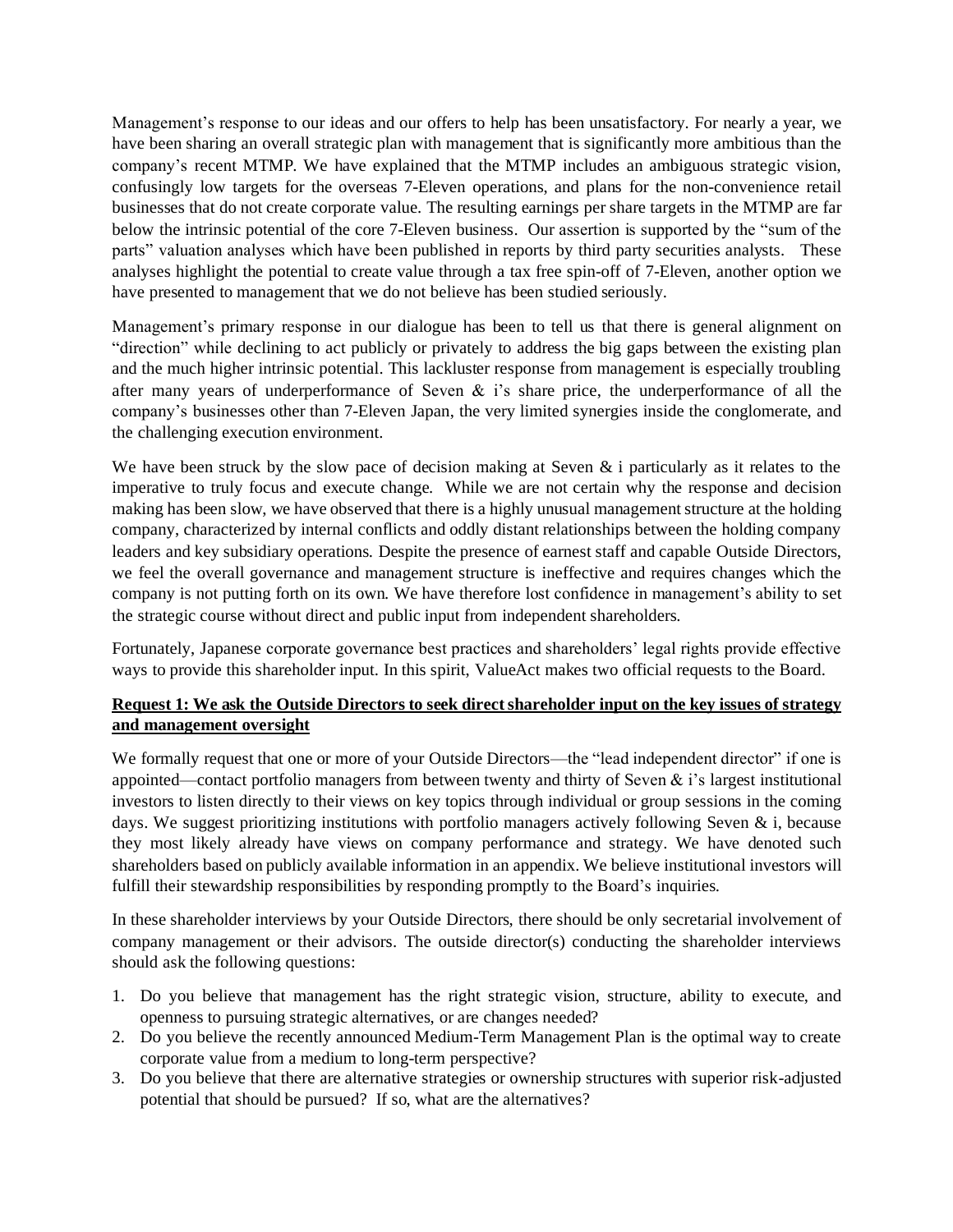Management's response to our ideas and our offers to help has been unsatisfactory. For nearly a year, we have been sharing an overall strategic plan with management that is significantly more ambitious than the company's recent MTMP. We have explained that the MTMP includes an ambiguous strategic vision, confusingly low targets for the overseas 7-Eleven operations, and plans for the non-convenience retail businesses that do not create corporate value. The resulting earnings per share targets in the MTMP are far below the intrinsic potential of the core 7-Eleven business. Our assertion is supported by the "sum of the parts" valuation analyses which have been published in reports by third party securities analysts. These analyses highlight the potential to create value through a tax free spin-off of 7-Eleven, another option we have presented to management that we do not believe has been studied seriously.

Management's primary response in our dialogue has been to tell us that there is general alignment on "direction" while declining to act publicly or privately to address the big gaps between the existing plan and the much higher intrinsic potential. This lackluster response from management is especially troubling after many years of underperformance of Seven & i's share price, the underperformance of all the company's businesses other than 7-Eleven Japan, the very limited synergies inside the conglomerate, and the challenging execution environment.

We have been struck by the slow pace of decision making at Seven  $\&$  i particularly as it relates to the imperative to truly focus and execute change. While we are not certain why the response and decision making has been slow, we have observed that there is a highly unusual management structure at the holding company, characterized by internal conflicts and oddly distant relationships between the holding company leaders and key subsidiary operations. Despite the presence of earnest staff and capable Outside Directors, we feel the overall governance and management structure is ineffective and requires changes which the company is not putting forth on its own. We have therefore lost confidence in management's ability to set the strategic course without direct and public input from independent shareholders.

Fortunately, Japanese corporate governance best practices and shareholders' legal rights provide effective ways to provide this shareholder input. In this spirit, ValueAct makes two official requests to the Board.

# **Request 1: We ask the Outside Directors to seek direct shareholder input on the key issues of strategy and management oversight**

We formally request that one or more of your Outside Directors—the "lead independent director" if one is appointed—contact portfolio managers from between twenty and thirty of Seven & i's largest institutional investors to listen directly to their views on key topics through individual or group sessions in the coming days. We suggest prioritizing institutions with portfolio managers actively following Seven & i, because they most likely already have views on company performance and strategy. We have denoted such shareholders based on publicly available information in an appendix. We believe institutional investors will fulfill their stewardship responsibilities by responding promptly to the Board's inquiries.

In these shareholder interviews by your Outside Directors, there should be only secretarial involvement of company management or their advisors. The outside director(s) conducting the shareholder interviews should ask the following questions:

- 1. Do you believe that management has the right strategic vision, structure, ability to execute, and openness to pursuing strategic alternatives, or are changes needed?
- 2. Do you believe the recently announced Medium-Term Management Plan is the optimal way to create corporate value from a medium to long-term perspective?
- 3. Do you believe that there are alternative strategies or ownership structures with superior risk-adjusted potential that should be pursued? If so, what are the alternatives?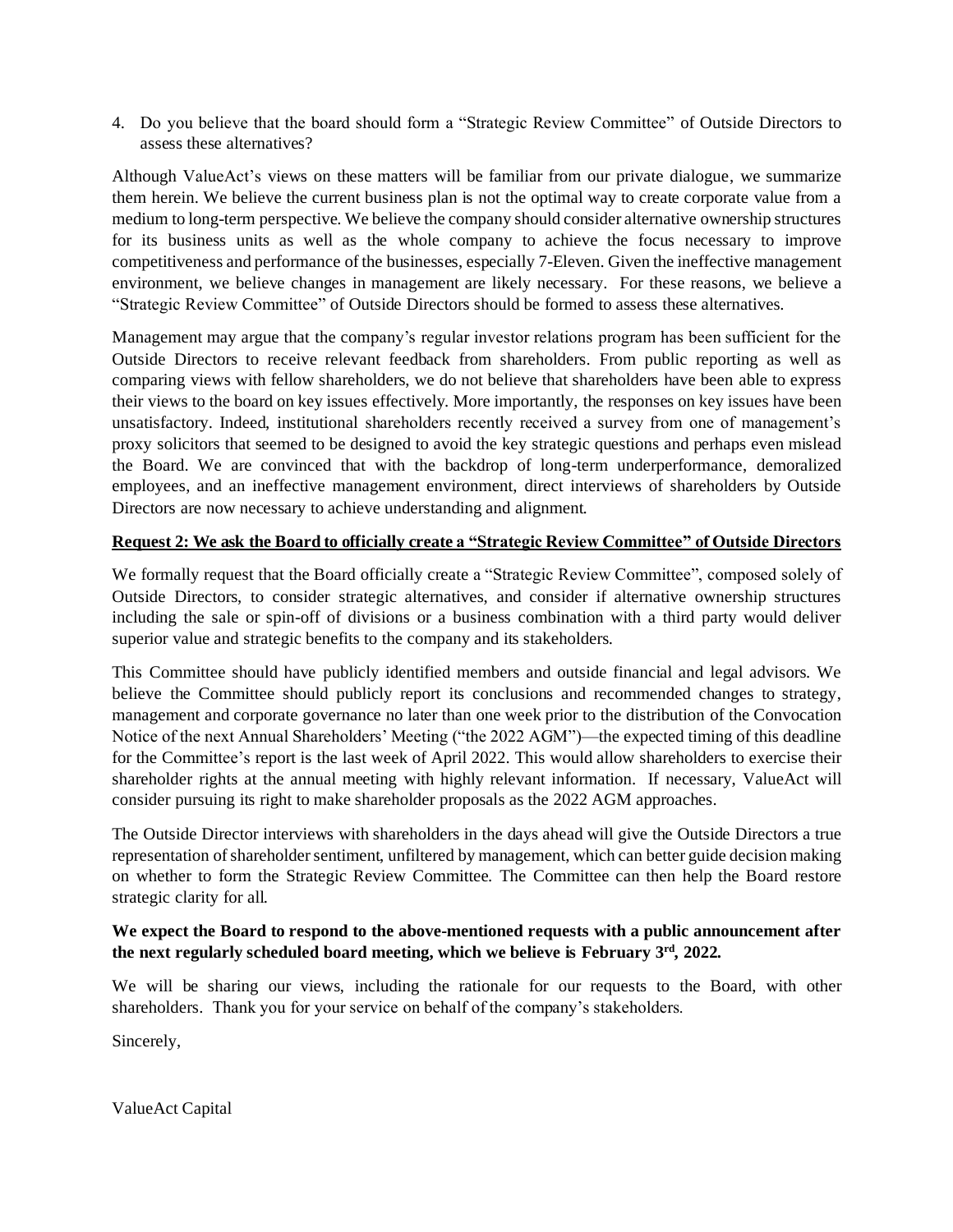4. Do you believe that the board should form a "Strategic Review Committee" of Outside Directors to assess these alternatives?

Although ValueAct's views on these matters will be familiar from our private dialogue, we summarize them herein. We believe the current business plan is not the optimal way to create corporate value from a medium to long-term perspective. We believe the company should consider alternative ownership structures for its business units as well as the whole company to achieve the focus necessary to improve competitiveness and performance of the businesses, especially 7-Eleven. Given the ineffective management environment, we believe changes in management are likely necessary. For these reasons, we believe a "Strategic Review Committee" of Outside Directors should be formed to assess these alternatives.

Management may argue that the company's regular investor relations program has been sufficient for the Outside Directors to receive relevant feedback from shareholders. From public reporting as well as comparing views with fellow shareholders, we do not believe that shareholders have been able to express their views to the board on key issues effectively. More importantly, the responses on key issues have been unsatisfactory. Indeed, institutional shareholders recently received a survey from one of management's proxy solicitors that seemed to be designed to avoid the key strategic questions and perhaps even mislead the Board. We are convinced that with the backdrop of long-term underperformance, demoralized employees, and an ineffective management environment, direct interviews of shareholders by Outside Directors are now necessary to achieve understanding and alignment.

### **Request 2: We ask the Board to officially create a "Strategic Review Committee" of Outside Directors**

We formally request that the Board officially create a "Strategic Review Committee", composed solely of Outside Directors, to consider strategic alternatives, and consider if alternative ownership structures including the sale or spin-off of divisions or a business combination with a third party would deliver superior value and strategic benefits to the company and its stakeholders.

This Committee should have publicly identified members and outside financial and legal advisors. We believe the Committee should publicly report its conclusions and recommended changes to strategy, management and corporate governance no later than one week prior to the distribution of the Convocation Notice of the next Annual Shareholders' Meeting ("the 2022 AGM")—the expected timing of this deadline for the Committee's report is the last week of April 2022. This would allow shareholders to exercise their shareholder rights at the annual meeting with highly relevant information. If necessary, ValueAct will consider pursuing its right to make shareholder proposals as the 2022 AGM approaches.

The Outside Director interviews with shareholders in the days ahead will give the Outside Directors a true representation of shareholder sentiment, unfiltered by management, which can better guide decision making on whether to form the Strategic Review Committee. The Committee can then help the Board restore strategic clarity for all.

# **We expect the Board to respond to the above-mentioned requests with a public announcement after the next regularly scheduled board meeting, which we believe is February 3rd, 2022.**

We will be sharing our views, including the rationale for our requests to the Board, with other shareholders. Thank you for your service on behalf of the company's stakeholders.

Sincerely,

ValueAct Capital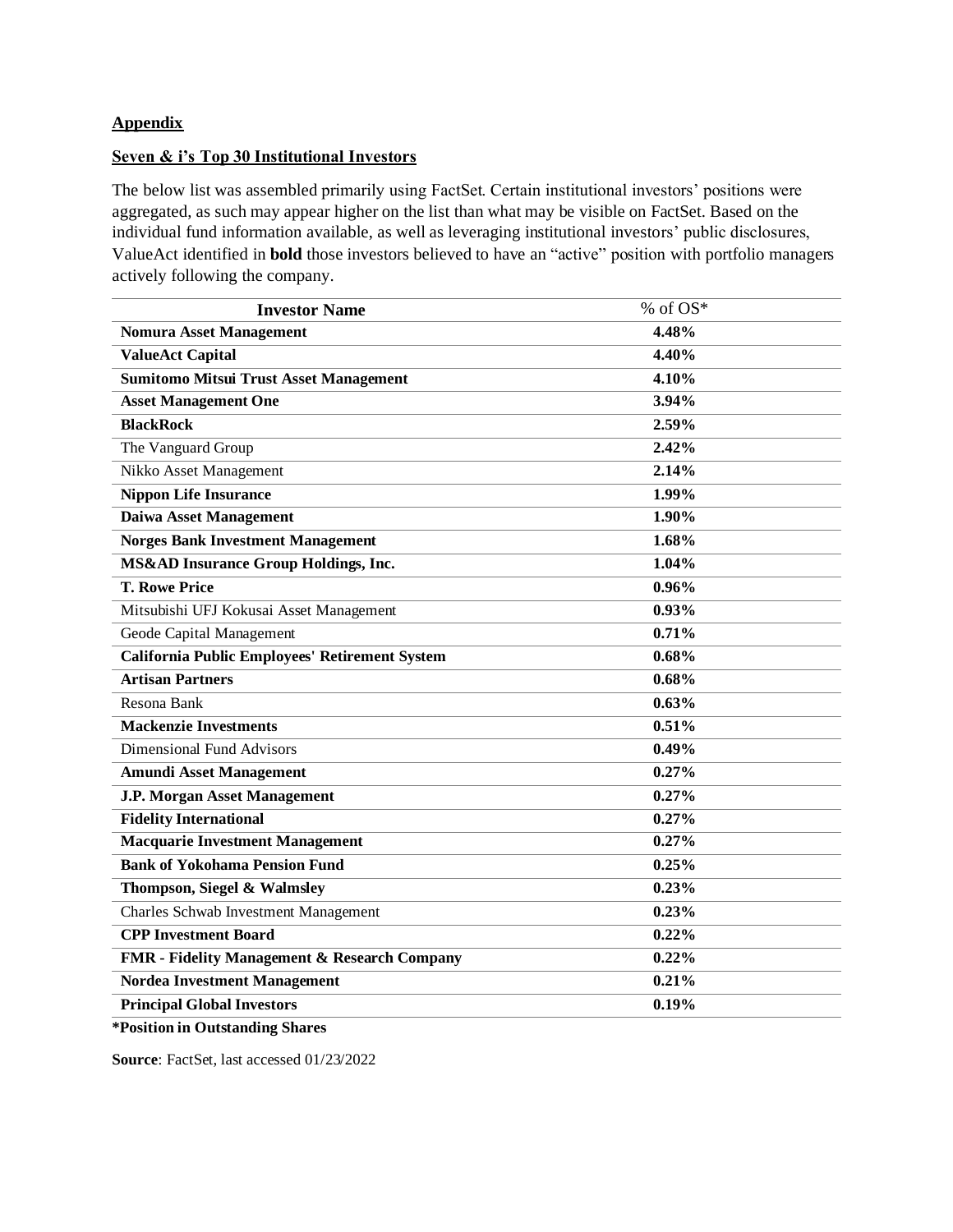### **Appendix**

#### **Seven & i's Top 30 Institutional Investors**

The below list was assembled primarily using FactSet. Certain institutional investors' positions were aggregated, as such may appear higher on the list than what may be visible on FactSet. Based on the individual fund information available, as well as leveraging institutional investors' public disclosures, ValueAct identified in **bold** those investors believed to have an "active" position with portfolio managers actively following the company.

| <b>Investor Name</b>                            | % of $OS^*$ |
|-------------------------------------------------|-------------|
| <b>Nomura Asset Management</b>                  | 4.48%       |
| <b>ValueAct Capital</b>                         | 4.40%       |
| <b>Sumitomo Mitsui Trust Asset Management</b>   | 4.10%       |
| <b>Asset Management One</b>                     | 3.94%       |
| <b>BlackRock</b>                                | 2.59%       |
| The Vanguard Group                              | 2.42%       |
| Nikko Asset Management                          | 2.14%       |
| <b>Nippon Life Insurance</b>                    | 1.99%       |
| <b>Daiwa Asset Management</b>                   | 1.90%       |
| <b>Norges Bank Investment Management</b>        | 1.68%       |
| <b>MS&amp;AD Insurance Group Holdings, Inc.</b> | 1.04%       |
| <b>T. Rowe Price</b>                            | 0.96%       |
| Mitsubishi UFJ Kokusai Asset Management         | 0.93%       |
| Geode Capital Management                        | 0.71%       |
| California Public Employees' Retirement System  | 0.68%       |
| <b>Artisan Partners</b>                         | 0.68%       |
| Resona Bank                                     | 0.63%       |
| <b>Mackenzie Investments</b>                    | 0.51%       |
| <b>Dimensional Fund Advisors</b>                | 0.49%       |
| <b>Amundi Asset Management</b>                  | 0.27%       |
| <b>J.P. Morgan Asset Management</b>             | 0.27%       |
| <b>Fidelity International</b>                   | 0.27%       |
| <b>Macquarie Investment Management</b>          | 0.27%       |
| <b>Bank of Yokohama Pension Fund</b>            | 0.25%       |
| Thompson, Siegel & Walmsley                     | 0.23%       |
| <b>Charles Schwab Investment Management</b>     | 0.23%       |
| <b>CPP Investment Board</b>                     | 0.22%       |
| FMR - Fidelity Management & Research Company    | 0.22%       |
| <b>Nordea Investment Management</b>             | 0.21%       |
| <b>Principal Global Investors</b>               | 0.19%       |
|                                                 |             |

**\*Position in Outstanding Shares**

**Source**: FactSet, last accessed 01/23/2022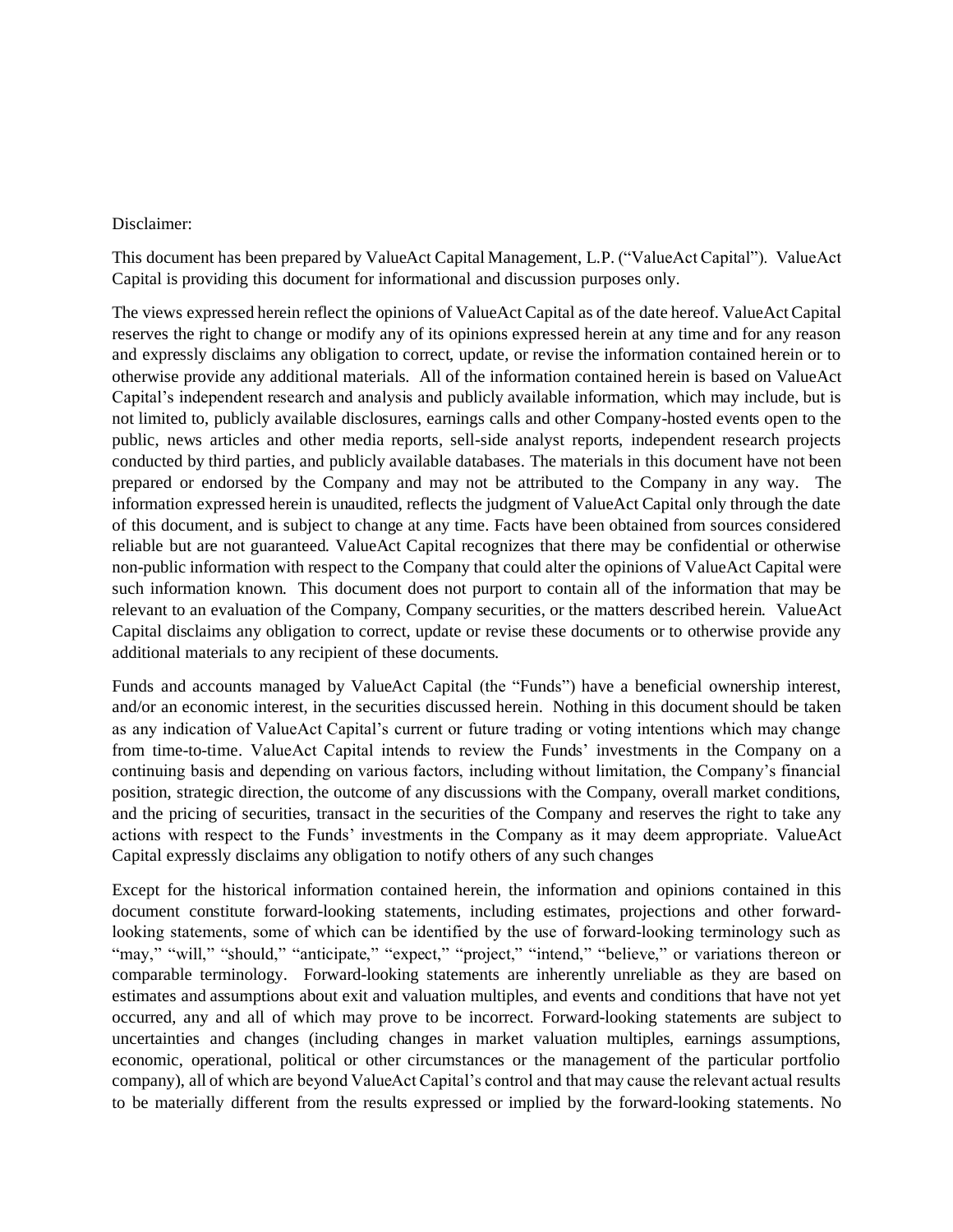#### Disclaimer:

This document has been prepared by ValueAct Capital Management, L.P. ("ValueAct Capital"). ValueAct Capital is providing this document for informational and discussion purposes only.

The views expressed herein reflect the opinions of ValueAct Capital as of the date hereof. ValueAct Capital reserves the right to change or modify any of its opinions expressed herein at any time and for any reason and expressly disclaims any obligation to correct, update, or revise the information contained herein or to otherwise provide any additional materials. All of the information contained herein is based on ValueAct Capital's independent research and analysis and publicly available information, which may include, but is not limited to, publicly available disclosures, earnings calls and other Company-hosted events open to the public, news articles and other media reports, sell-side analyst reports, independent research projects conducted by third parties, and publicly available databases. The materials in this document have not been prepared or endorsed by the Company and may not be attributed to the Company in any way. The information expressed herein is unaudited, reflects the judgment of ValueAct Capital only through the date of this document, and is subject to change at any time. Facts have been obtained from sources considered reliable but are not guaranteed. ValueAct Capital recognizes that there may be confidential or otherwise non-public information with respect to the Company that could alter the opinions of ValueAct Capital were such information known. This document does not purport to contain all of the information that may be relevant to an evaluation of the Company, Company securities, or the matters described herein. ValueAct Capital disclaims any obligation to correct, update or revise these documents or to otherwise provide any additional materials to any recipient of these documents.

Funds and accounts managed by ValueAct Capital (the "Funds") have a beneficial ownership interest, and/or an economic interest, in the securities discussed herein. Nothing in this document should be taken as any indication of ValueAct Capital's current or future trading or voting intentions which may change from time-to-time. ValueAct Capital intends to review the Funds' investments in the Company on a continuing basis and depending on various factors, including without limitation, the Company's financial position, strategic direction, the outcome of any discussions with the Company, overall market conditions, and the pricing of securities, transact in the securities of the Company and reserves the right to take any actions with respect to the Funds' investments in the Company as it may deem appropriate. ValueAct Capital expressly disclaims any obligation to notify others of any such changes

Except for the historical information contained herein, the information and opinions contained in this document constitute forward-looking statements, including estimates, projections and other forwardlooking statements, some of which can be identified by the use of forward‐looking terminology such as "may," "will," "should," "anticipate," "expect," "project," "intend," "believe," or variations thereon or comparable terminology. Forward-looking statements are inherently unreliable as they are based on estimates and assumptions about exit and valuation multiples, and events and conditions that have not yet occurred, any and all of which may prove to be incorrect. Forward-looking statements are subject to uncertainties and changes (including changes in market valuation multiples, earnings assumptions, economic, operational, political or other circumstances or the management of the particular portfolio company), all of which are beyond ValueAct Capital's control and that may cause the relevant actual results to be materially different from the results expressed or implied by the forward-looking statements. No